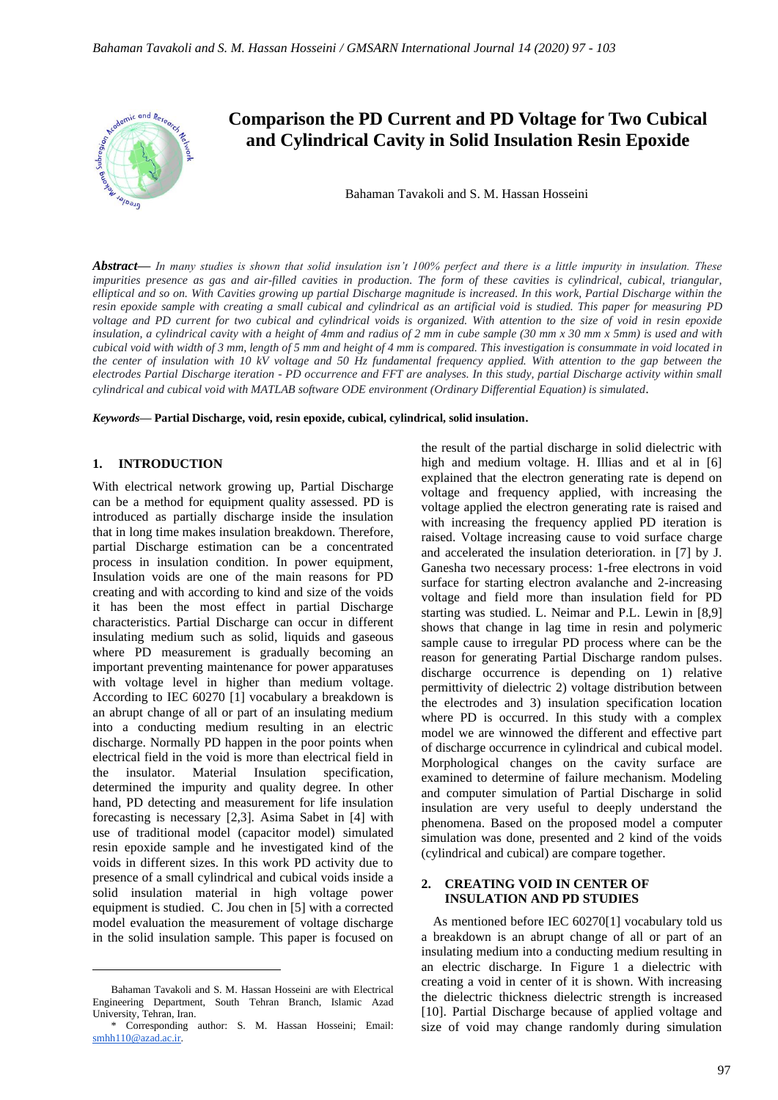

*Abstract***—** *In many studies is shown that solid insulation isn't 100% perfect and there is a little impurity in insulation. These impurities presence as gas and air-filled cavities in production. The form of these cavities is cylindrical, cubical, triangular, elliptical and so on. With Cavities growing up partial Discharge magnitude is increased. In this work, Partial Discharge within the resin epoxide sample with creating a small cubical and cylindrical as an artificial void is studied. This paper for measuring PD voltage and PD current for two cubical and cylindrical voids is organized. With attention to the size of void in resin epoxide insulation, a cylindrical cavity with a height of 4mm and radius of 2 mm in cube sample (30 mm x 30 mm x 5mm) is used and with cubical void with width of 3 mm, length of 5 mm and height of 4 mm is compared. This investigation is consummate in void located in the center of insulation with 10 kV voltage and 50 Hz fundamental frequency applied. With attention to the gap between the electrodes Partial Discharge iteration - PD occurrence and FFT are analyses. In this study, partial Discharge activity within small cylindrical and cubical void with MATLAB software ODE environment (Ordinary Differential Equation) is simulated.*

*Keywords***— Partial Discharge, void, resin epoxide, cubical, cylindrical, solid insulation.**

#### **1. INTRODUCTION**

With electrical network growing up, Partial Discharge can be a method for equipment quality assessed. PD is introduced as partially discharge inside the insulation that in long time makes insulation breakdown. Therefore, partial Discharge estimation can be a concentrated process in insulation condition. In power equipment, Insulation voids are one of the main reasons for PD creating and with according to kind and size of the voids it has been the most effect in partial Discharge characteristics. Partial Discharge can occur in different insulating medium such as solid, liquids and gaseous where PD measurement is gradually becoming an important preventing maintenance for power apparatuses with voltage level in higher than medium voltage. According to IEC 60270 [1] vocabulary a breakdown is an abrupt change of all or part of an insulating medium into a conducting medium resulting in an electric discharge. Normally PD happen in the poor points when electrical field in the void is more than electrical field in the insulator. Material Insulation specification, determined the impurity and quality degree. In other hand, PD detecting and measurement for life insulation forecasting is necessary [2,3]. Asima Sabet in [4] with use of traditional model (capacitor model) simulated resin epoxide sample and he investigated kind of the voids in different sizes. In this work PD activity due to presence of a small cylindrical and cubical voids inside a solid insulation material in high voltage power equipment is studied. C. Jou chen in [5] with a corrected model evaluation the measurement of voltage discharge in the solid insulation sample. This paper is focused on

the result of the partial discharge in solid dielectric with high and medium voltage. H. Illias and et al in [6] explained that the electron generating rate is depend on voltage and frequency applied, with increasing the voltage applied the electron generating rate is raised and with increasing the frequency applied PD iteration is raised. Voltage increasing cause to void surface charge and accelerated the insulation deterioration. in [7] by J. Ganesha two necessary process: 1-free electrons in void surface for starting electron avalanche and 2-increasing voltage and field more than insulation field for PD starting was studied. L. Neimar and P.L. Lewin in [8,9] shows that change in lag time in resin and polymeric sample cause to irregular PD process where can be the reason for generating Partial Discharge random pulses. discharge occurrence is depending on 1) relative permittivity of dielectric 2) voltage distribution between the electrodes and 3) insulation specification location where PD is occurred. In this study with a complex model we are winnowed the different and effective part of discharge occurrence in cylindrical and cubical model. Morphological changes on the cavity surface are examined to determine of failure mechanism. Modeling and computer simulation of Partial Discharge in solid insulation are very useful to deeply understand the phenomena. Based on the proposed model a computer simulation was done, presented and 2 kind of the voids (cylindrical and cubical) are compare together.

# **2. CREATING VOID IN CENTER OF INSULATION AND PD STUDIES**

As mentioned before IEC 60270[1] vocabulary told us a breakdown is an abrupt change of all or part of an insulating medium into a conducting medium resulting in an electric discharge. In Figure 1 a dielectric with creating a void in center of it is shown. With increasing the dielectric thickness dielectric strength is increased [10]. Partial Discharge because of applied voltage and size of void may change randomly during simulation

Bahaman Tavakoli and S. M. Hassan Hosseini are with Electrical Engineering Department, South Tehran Branch, Islamic Azad University, Tehran, Iran.

<sup>\*</sup> Corresponding author: S. M. Hassan Hosseini; Email: [smhh110@azad.ac.ir.](mailto:smhh110@azad.ac.ir)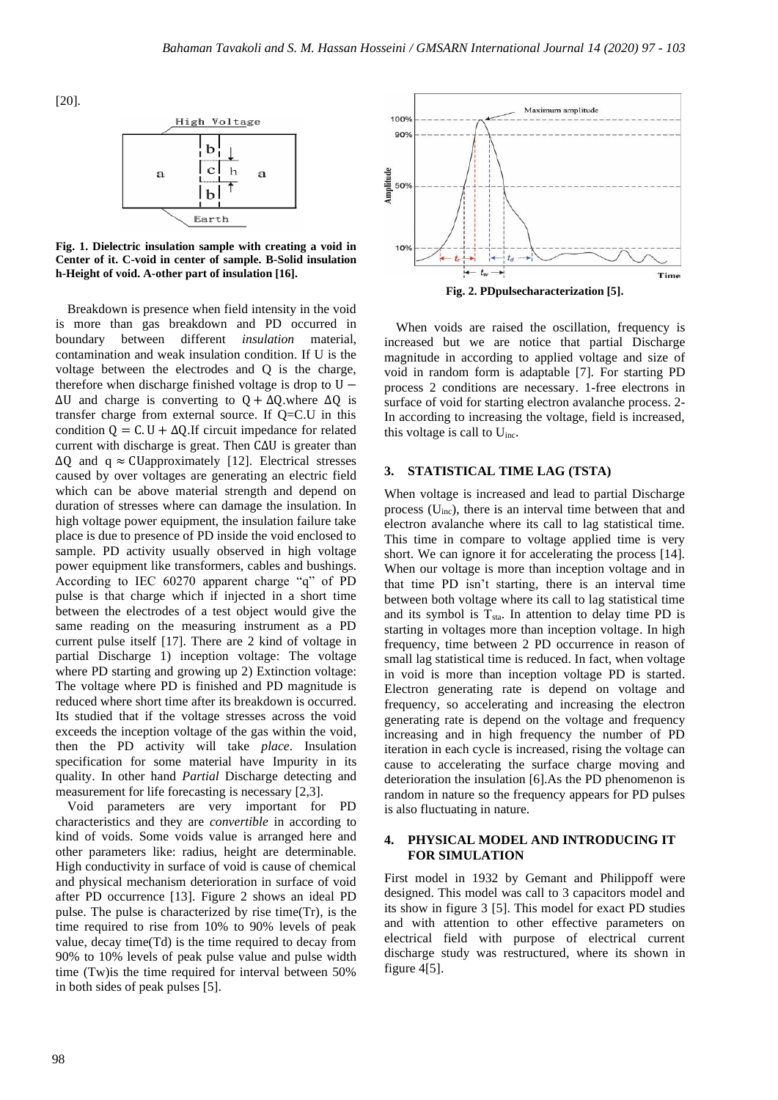[20].



**Fig. 1. Dielectric insulation sample with creating a void in Center of it. C-void in center of sample. B-Solid insulation h-Height of void. A-other part of insulation [16].** 

Breakdown is presence when field intensity in the void is more than gas breakdown and PD occurred in boundary between different *insulation* material, contamination and weak insulation condition. If U is the voltage between the electrodes and Q is the charge, therefore when discharge finished voltage is drop to  $U ΔU$  and charge is converting to  $Q + ΔQ$ .where  $ΔQ$  is transfer charge from external source. If Q=C.U in this condition  $Q = C \cdot U + \Delta Q \cdot I$  circuit impedance for related current with discharge is great. Then C∆U is greater than  $\Delta Q$  and q  $\approx$  CUapproximately [12]. Electrical stresses caused by over voltages are generating an electric field which can be above material strength and depend on duration of stresses where can damage the insulation. In high voltage power equipment, the insulation failure take place is due to presence of PD inside the void enclosed to sample. PD activity usually observed in high voltage power equipment like transformers, cables and bushings. According to IEC 60270 apparent charge "q" of PD pulse is that charge which if injected in a short time between the electrodes of a test object would give the same reading on the measuring instrument as a PD current pulse itself [17]. There are 2 kind of voltage in partial Discharge 1) inception voltage: The voltage where PD starting and growing up 2) Extinction voltage: The voltage where PD is finished and PD magnitude is reduced where short time after its breakdown is occurred. Its studied that if the voltage stresses across the void exceeds the inception voltage of the gas within the void, then the PD activity will take *place*. Insulation specification for some material have Impurity in its quality. In other hand *Partial* Discharge detecting and measurement for life forecasting is necessary [2,3].

Void parameters are very important for PD characteristics and they are *convertible* in according to kind of voids. Some voids value is arranged here and other parameters like: radius, height are determinable. High conductivity in surface of void is cause of chemical and physical mechanism deterioration in surface of void after PD occurrence [13]. Figure 2 shows an ideal PD pulse. The pulse is characterized by rise time(Tr), is the time required to rise from 10% to 90% levels of peak value, decay time(Td) is the time required to decay from 90% to 10% levels of peak pulse value and pulse width time (Tw)is the time required for interval between 50% in both sides of peak pulses [5].



When voids are raised the oscillation, frequency is increased but we are notice that partial Discharge magnitude in according to applied voltage and size of void in random form is adaptable [7]. For starting PD process 2 conditions are necessary. 1-free electrons in surface of void for starting electron avalanche process. 2- In according to increasing the voltage, field is increased, this voltage is call to Uinc.

### **3. STATISTICAL TIME LAG (TSTA)**

When voltage is increased and lead to partial Discharge process  $(U_{inc})$ , there is an interval time between that and electron avalanche where its call to lag statistical time. This time in compare to voltage applied time is very short. We can ignore it for accelerating the process [14]. When our voltage is more than inception voltage and in that time PD isn't starting, there is an interval time between both voltage where its call to lag statistical time and its symbol is  $T_{sta}$ . In attention to delay time PD is starting in voltages more than inception voltage. In high frequency, time between 2 PD occurrence in reason of small lag statistical time is reduced. In fact, when voltage in void is more than inception voltage PD is started. Electron generating rate is depend on voltage and frequency, so accelerating and increasing the electron generating rate is depend on the voltage and frequency increasing and in high frequency the number of PD iteration in each cycle is increased, rising the voltage can cause to accelerating the surface charge moving and deterioration the insulation [6].As the PD phenomenon is random in nature so the frequency appears for PD pulses is also fluctuating in nature.

# **4. PHYSICAL MODEL AND INTRODUCING IT FOR SIMULATION**

First model in 1932 by Gemant and Philippoff were designed. This model was call to 3 capacitors model and its show in figure 3 [5]. This model for exact PD studies and with attention to other effective parameters on electrical field with purpose of electrical current discharge study was restructured, where its shown in figure 4[5].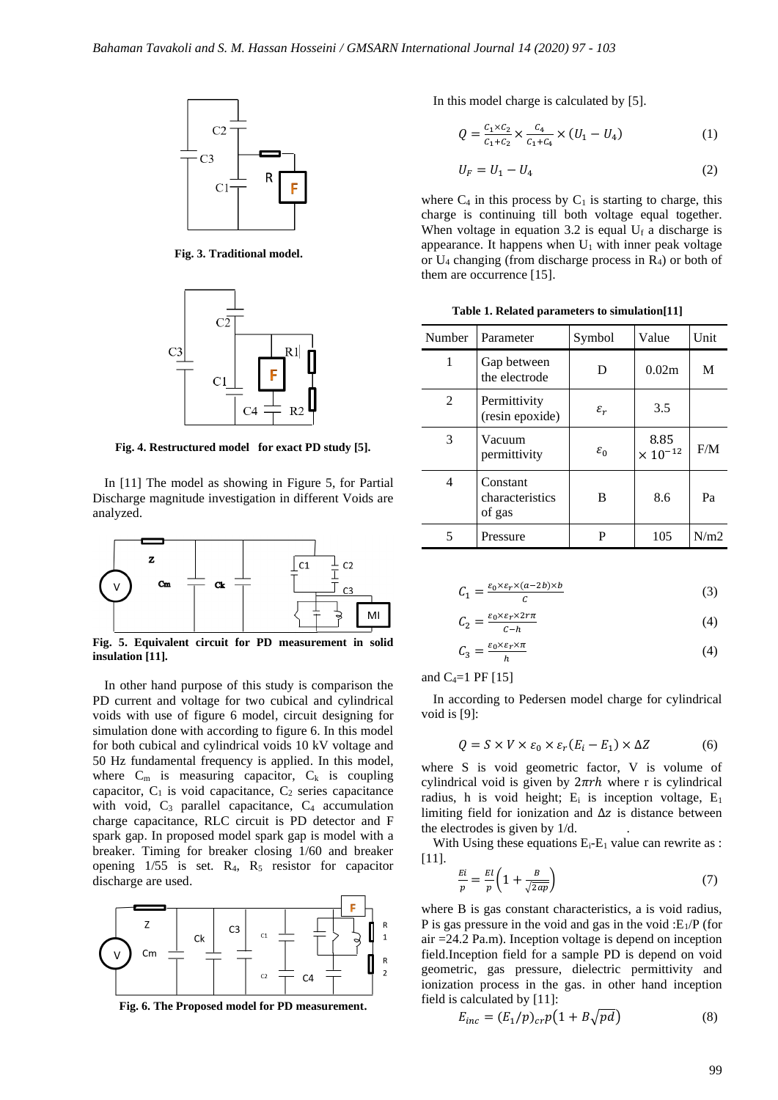

**Fig. 3. Traditional model.**



**Fig. 4. Restructured model for exact PD study [5].**

In [11] The model as showing in Figure 5, for Partial Discharge magnitude investigation in different Voids are analyzed.



**Fig. 5. Equivalent circuit for PD measurement in solid insulation [11].**

In other hand purpose of this study is comparison the PD current and voltage for two cubical and cylindrical voids with use of figure 6 model, circuit designing for simulation done with according to figure 6. In this model for both cubical and cylindrical voids 10 kV voltage and 50 Hz fundamental frequency is applied. In this model, where  $C_m$  is measuring capacitor,  $C_k$  is coupling capacitor,  $C_1$  is void capacitance,  $C_2$  series capacitance with void,  $C_3$  parallel capacitance,  $C_4$  accumulation charge capacitance, RLC circuit is PD detector and F spark gap. In proposed model spark gap is model with a breaker. Timing for breaker closing 1/60 and breaker opening 1/55 is set. R4, R<sup>5</sup> resistor for capacitor discharge are used.



**Fig. 6. The Proposed model for PD measurement.**

In this model charge is calculated by [5].

$$
Q = \frac{c_1 \times c_2}{c_1 + c_2} \times \frac{c_4}{c_1 + c_4} \times (U_1 - U_4)
$$
 (1)

$$
U_F = U_1 - U_4 \tag{2}
$$

where  $C_4$  in this process by  $C_1$  is starting to charge, this charge is continuing till both voltage equal together. When voltage in equation 3.2 is equal  $U_f$  a discharge is appearance. It happens when  $U_1$  with inner peak voltage or U<sup>4</sup> changing (from discharge process in R4) or both of them are occurrence [15].

**Table 1. Related parameters to simulation[11]**

| Number | Parameter                             | Symbol          | Value                     | Unit |
|--------|---------------------------------------|-----------------|---------------------------|------|
| 1      | Gap between<br>the electrode          | D               | 0.02m                     | M    |
| 2      | Permittivity<br>(resin epoxide)       | $\varepsilon_r$ | 3.5                       |      |
| 3      | Vacuum<br>permittivity                | $\varepsilon_0$ | 8.85<br>$\times 10^{-12}$ | F/M  |
| 4      | Constant<br>characteristics<br>of gas | B               | 8.6                       | Pa   |
| 5      | Pressure                              | P               | 105                       | N/m2 |

$$
C_1 = \frac{\varepsilon_0 \times \varepsilon_r \times (a - 2b) \times b}{c} \tag{3}
$$

$$
C_2 = \frac{\varepsilon_0 \times \varepsilon_r \times 2r\pi}{c - h} \tag{4}
$$

$$
C_3 = \frac{\varepsilon_0 \times \varepsilon_r \times \pi}{h} \tag{4}
$$

and  $C_4=1$  PF  $[15]$ 

In according to Pedersen model charge for cylindrical void is [9]:

$$
Q = S \times V \times \varepsilon_0 \times \varepsilon_r (E_i - E_1) \times \Delta Z \tag{6}
$$

where S is void geometric factor, V is volume of cylindrical void is given by  $2\pi rh$  where r is cylindrical radius, h is void height;  $E_i$  is inception voltage,  $E_1$ limiting field for ionization and  $\Delta z$  is distance between the electrodes is given by 1/d. .

With Using these equations  $E_i-E_1$  value can rewrite as : [11].

$$
\frac{Ei}{p} = \frac{EI}{p} \left( 1 + \frac{B}{\sqrt{2ap}} \right) \tag{7}
$$

where B is gas constant characteristics, a is void radius, P is gas pressure in the void and gas in the void : $E_1/P$  (for air =24.2 Pa.m). Inception voltage is depend on inception field.Inception field for a sample PD is depend on void geometric, gas pressure, dielectric permittivity and ionization process in the gas. in other hand inception field is calculated by [11]:

$$
E_{inc} = (E_1/p)_{cr} p(1 + B\sqrt{pd})
$$
 (8)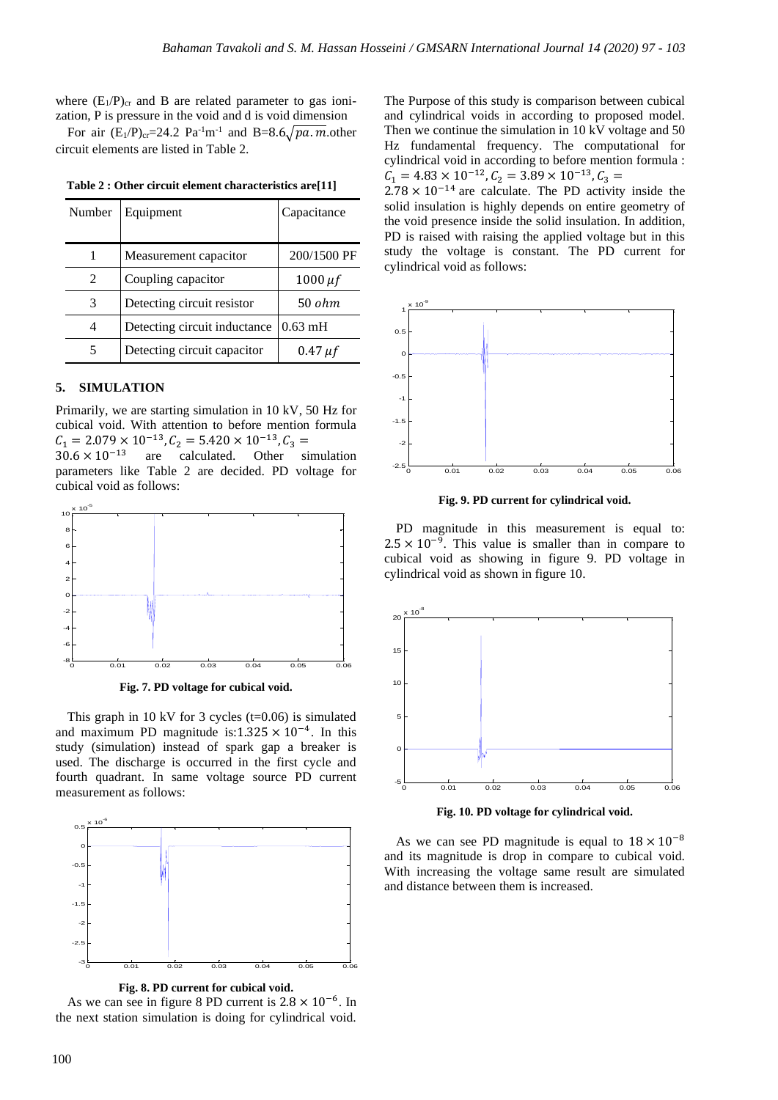where  $(E_1/P)_{cr}$  and B are related parameter to gas ionization, P is pressure in the void and d is void dimension

For air  $(E_1/P)_{cr} = 24.2 \text{ Pa}^{-1} \text{m}^{-1}$  and B=8.6 $\sqrt{pa.m}$ .other circuit elements are listed in Table 2.

| Number | Equipment                            | Capacitance  |  |
|--------|--------------------------------------|--------------|--|
|        |                                      |              |  |
|        | Measurement capacitor                | 200/1500 PF  |  |
| 2      | Coupling capacitor                   | 1000 $\mu$ f |  |
| 3      | Detecting circuit resistor           | 50 ohm       |  |
|        | Detecting circuit inductance 0.63 mH |              |  |
|        | Detecting circuit capacitor          | $0.47 \mu f$ |  |

**Table 2 : Other circuit element characteristics are[11]**

#### **5. SIMULATION**

Primarily, we are starting simulation in 10 kV, 50 Hz for cubical void. With attention to before mention formula  $C_1 = 2.079 \times 10^{-13}$ ,  $C_2 = 5.420 \times 10^{-13}$ ,  $C_3 =$ 

 $30.6 \times 10^{-13}$  are calculated. Other simulation parameters like Table 2 are decided. PD voltage for cubical void as follows:



**Fig. 7. PD voltage for cubical void.**

This graph in 10 kV for 3 cycles  $(t=0.06)$  is simulated and maximum PD magnitude is: $1.325 \times 10^{-4}$ . In this study (simulation) instead of spark gap a breaker is used. The discharge is occurred in the first cycle and fourth quadrant. In same voltage source PD current measurement as follows:



**Fig. 8. PD current for cubical void.**

As we can see in figure 8 PD current is  $2.8 \times 10^{-6}$ . In the next station simulation is doing for cylindrical void.

The Purpose of this study is comparison between cubical and cylindrical voids in according to proposed model. Then we continue the simulation in 10 kV voltage and 50 Hz fundamental frequency. The computational for cylindrical void in according to before mention formula :  $C_1 = 4.83 \times 10^{-12}$ ,  $C_2 = 3.89 \times 10^{-13}$ ,  $C_3 =$ 

 $2.78 \times 10^{-14}$  are calculate. The PD activity inside the solid insulation is highly depends on entire geometry of the void presence inside the solid insulation. In addition, PD is raised with raising the applied voltage but in this study the voltage is constant. The PD current for cylindrical void as follows:



**Fig. 9. PD current for cylindrical void.**

PD magnitude in this measurement is equal to:  $2.5 \times 10^{-9}$ . This value is smaller than in compare to cubical void as showing in figure 9. PD voltage in cylindrical void as shown in figure 10.



**Fig. 10. PD voltage for cylindrical void.**

As we can see PD magnitude is equal to  $18 \times 10^{-8}$ and its magnitude is drop in compare to cubical void. With increasing the voltage same result are simulated and distance between them is increased.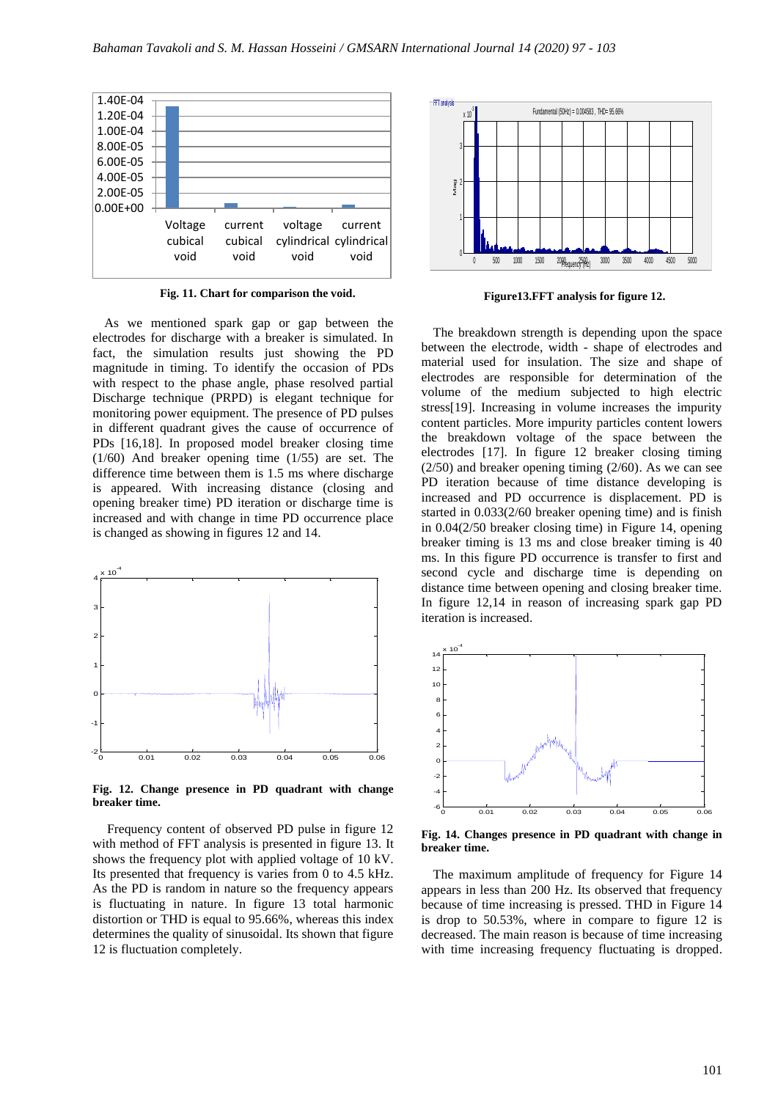

 **Fig. 11. Chart for comparison the void.**

As we mentioned spark gap or gap between the electrodes for discharge with a breaker is simulated. In fact, the simulation results just showing the PD magnitude in timing. To identify the occasion of PDs with respect to the phase angle, phase resolved partial Discharge technique (PRPD) is elegant technique for monitoring power equipment. The presence of PD pulses in different quadrant gives the cause of occurrence of PDs [16,18]. In proposed model breaker closing time (1/60) And breaker opening time (1/55) are set. The difference time between them is 1.5 ms where discharge is appeared. With increasing distance (closing and opening breaker time) PD iteration or discharge time is increased and with change in time PD occurrence place is changed as showing in figures 12 and 14.



**Fig. 12. Change presence in PD quadrant with change breaker time.**

Frequency content of observed PD pulse in figure 12 with method of FFT analysis is presented in figure 13. It shows the frequency plot with applied voltage of 10 kV. Its presented that frequency is varies from 0 to 4.5 kHz. As the PD is random in nature so the frequency appears is fluctuating in nature. In figure 13 total harmonic distortion or THD is equal to 95.66%, whereas this index determines the quality of sinusoidal. Its shown that figure 12 is fluctuation completely.



**Figure13.FFT analysis for figure 12.**

The breakdown strength is depending upon the space between the electrode, width - shape of electrodes and material used for insulation. The size and shape of electrodes are responsible for determination of the volume of the medium subjected to high electric stress[19]. Increasing in volume increases the impurity content particles. More impurity particles content lowers the breakdown voltage of the space between the electrodes [17]. In figure 12 breaker closing timing  $(2/50)$  and breaker opening timing  $(2/60)$ . As we can see PD iteration because of time distance developing is increased and PD occurrence is displacement. PD is started in 0.033(2/60 breaker opening time) and is finish in 0.04(2/50 breaker closing time) in Figure 14, opening breaker timing is 13 ms and close breaker timing is 40 ms. In this figure PD occurrence is transfer to first and second cycle and discharge time is depending on distance time between opening and closing breaker time. In figure 12,14 in reason of increasing spark gap PD iteration is increased.



**Fig. 14. Changes presence in PD quadrant with change in breaker time.** 

The maximum amplitude of frequency for Figure 14 appears in less than 200 Hz. Its observed that frequency because of time increasing is pressed. THD in Figure 14 is drop to 50.53%, where in compare to figure 12 is decreased. The main reason is because of time increasing with time increasing frequency fluctuating is dropped.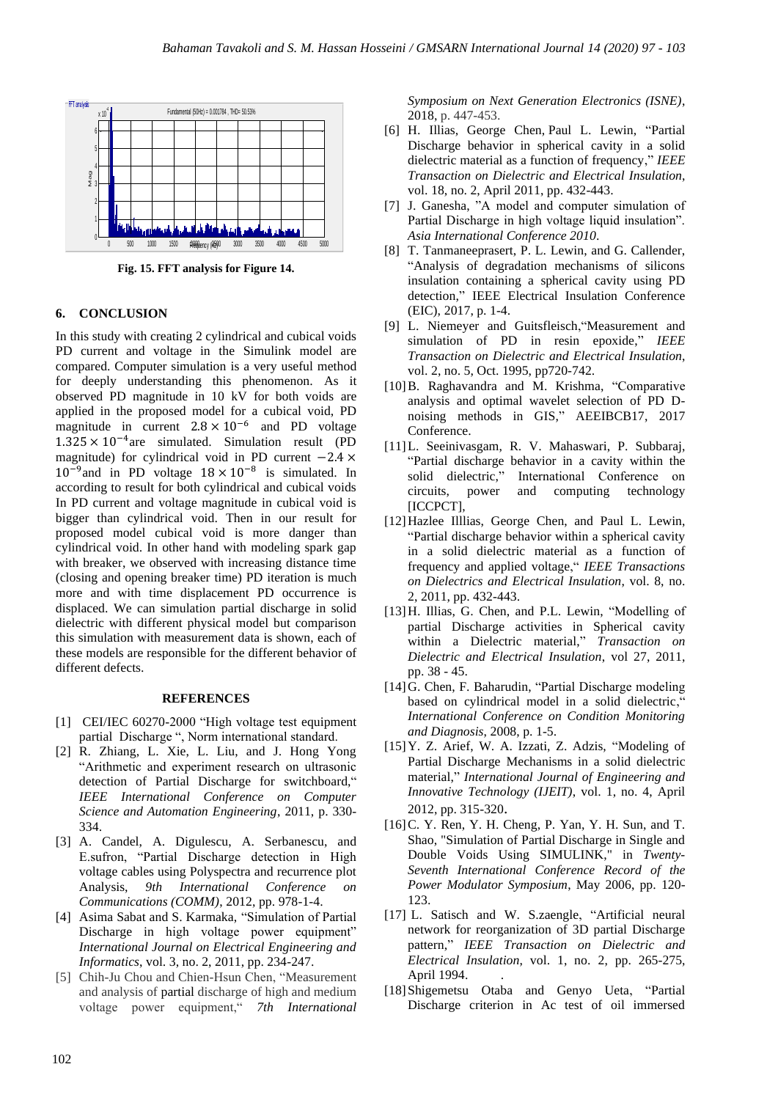

**Fig. 15. FFT analysis for Figure 14.**

# **6. CONCLUSION**

In this study with creating 2 cylindrical and cubical voids PD current and voltage in the Simulink model are compared. Computer simulation is a very useful method for deeply understanding this phenomenon. As it observed PD magnitude in 10 kV for both voids are applied in the proposed model for a cubical void, PD magnitude in current  $2.8 \times 10^{-6}$  and PD voltage 1.325 × 10−4 are simulated. Simulation result (PD magnitude) for cylindrical void in PD current −2.4 ×  $10^{-9}$  and in PD voltage  $18 \times 10^{-8}$  is simulated. In according to result for both cylindrical and cubical voids In PD current and voltage magnitude in cubical void is bigger than cylindrical void. Then in our result for proposed model cubical void is more danger than cylindrical void. In other hand with modeling spark gap with breaker, we observed with increasing distance time (closing and opening breaker time) PD iteration is much more and with time displacement PD occurrence is displaced. We can simulation partial discharge in solid dielectric with different physical model but comparison this simulation with measurement data is shown, each of these models are responsible for the different behavior of different defects.

#### **REFERENCES**

- [1] CEI/IEC 60270-2000 "High voltage test equipment partial Discharge ", Norm international standard.
- [2] R. Zhiang, L. Xie, L. Liu, and J. Hong Yong "Arithmetic and experiment research on ultrasonic detection of Partial Discharge for switchboard," *IEEE International Conference on Computer Science and Automation Engineering*, 2011, p. 330- 334.
- [3] A. Candel, A. Digulescu, A. Serbanescu, and E.sufron, "Partial Discharge detection in High voltage cables using Polyspectra and recurrence plot Analysis, *9th International Conference on Communications (COMM)*, 2012, pp. 978-1-4.
- [4] Asima Sabat and S. Karmaka, "Simulation of Partial Discharge in high voltage power equipment" *International Journal on Electrical Engineering and Informatics*, vol. 3, no. 2, 2011, pp. 234-247.
- [5] Chih-Ju Chou and Chien-Hsun Chen, "Measurement and analysis of partial discharge of high and medium voltage power equipment," *7th International*

*Symposium on Next Generation Electronics (ISNE)*, 2018, p. 447-453.

- [6] H. Illias, George Chen, Paul L. Lewin, "Partial Discharge behavior in spherical cavity in a solid dielectric material as a function of frequency," *IEEE Transaction on Dielectric and Electrical Insulation*, vol. 18, no. 2, April 2011, pp. 432-443.
- [7] J. Ganesha, "A model and computer simulation of Partial Discharge in high voltage liquid insulation". *Asia International Conference 2010*.
- [8] T. Tanmaneeprasert, P. L. Lewin, and G. Callender, "Analysis of degradation mechanisms of silicons insulation containing a spherical cavity using PD detection," IEEE Electrical Insulation Conference (EIC), 2017, p. 1-4.
- [9] L. Niemeyer and Guitsfleisch,"Measurement and simulation of PD in resin epoxide," *IEEE Transaction on Dielectric and Electrical Insulation*, vol. 2, no. 5, Oct. 1995, pp720-742.
- [10]B. Raghavandra and M. Krishma, "Comparative analysis and optimal wavelet selection of PD Dnoising methods in GIS," AEEIBCB17, 2017 Conference.
- [11]L. Seeinivasgam, R. V. Mahaswari, P. Subbaraj, "Partial discharge behavior in a cavity within the solid dielectric," International Conference on circuits, power and computing technology [ICCPCT],
- [12]Hazlee Illlias, George Chen, and Paul L. Lewin, "Partial discharge behavior within a spherical cavity in a solid dielectric material as a function of frequency and applied voltage," *IEEE Transactions on Dielectrics and Electrical Insulation*, vol. 8, no. 2, 2011, pp. 432-443.
- [13]H. Illias, G. Chen, and P.L. Lewin, "Modelling of partial Discharge activities in Spherical cavity within a Dielectric material," *Transaction on Dielectric and Electrical Insulation*, vol 27, 2011, pp. 38 - 45.
- [14]G. Chen, F. Baharudin, "Partial Discharge modeling based on cylindrical model in a solid dielectric," *International Conference on Condition Monitoring and Diagnosis*, 2008, p. 1-5.
- [15]Y. Z. Arief, W. A. Izzati, Z. Adzis, "Modeling of Partial Discharge Mechanisms in a solid dielectric material," *International Journal of Engineering and Innovative Technology (IJEIT)*, vol. 1, no. 4, April 2012, pp. 315-320.
- [16] C. Y. Ren, Y. H. Cheng, P. Yan, Y. H. Sun, and T. Shao, "Simulation of Partial Discharge in Single and Double Voids Using SIMULINK," in *Twenty-Seventh International Conference Record of the Power Modulator Symposium*, May 2006, pp. 120- 123.
- [17] L. Satisch and W. S.zaengle, "Artificial neural network for reorganization of 3D partial Discharge pattern," *IEEE Transaction on Dielectric and Electrical Insulation*, vol. 1, no. 2, pp. 265-275, April 1994. .
- [18]Shigemetsu Otaba and Genyo Ueta, "Partial Discharge criterion in Ac test of oil immersed